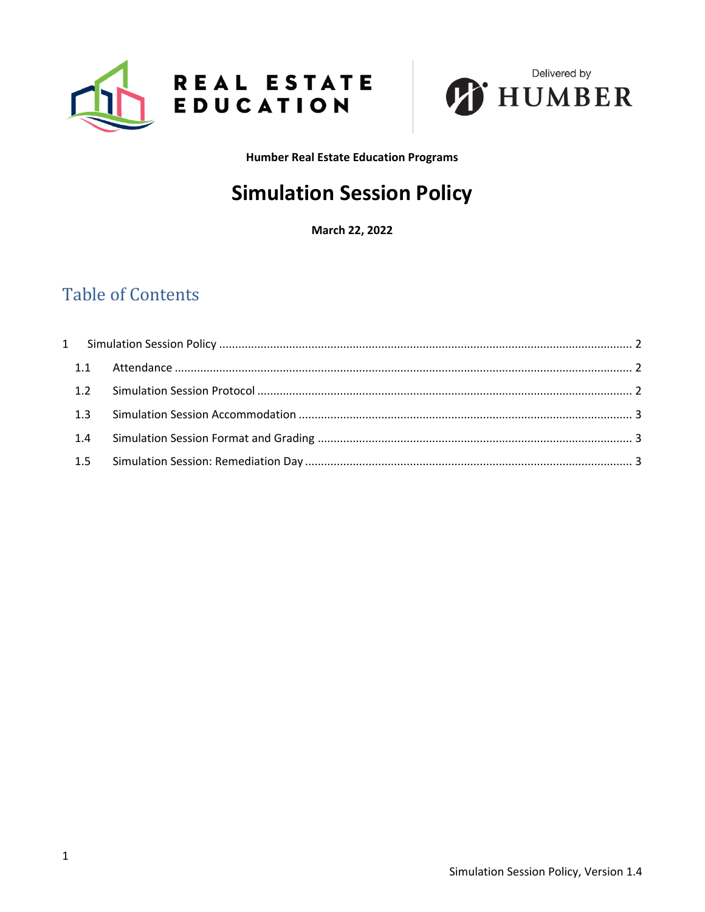



**Humber Real Estate Education Programs** 

# **Simulation Session Policy**

March 22, 2022

## **Table of Contents**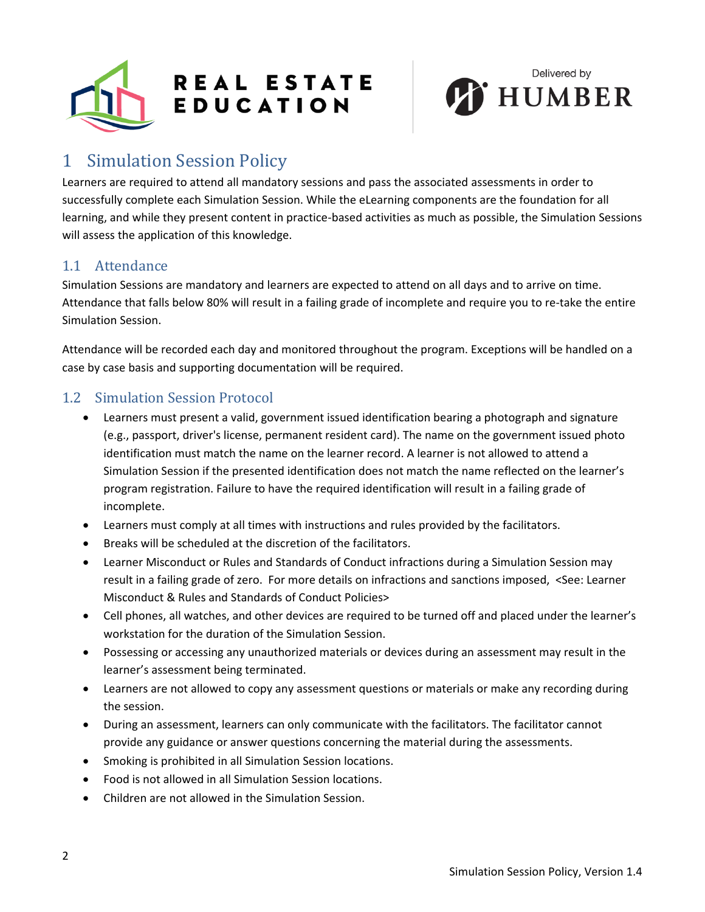



## <span id="page-1-0"></span>1 Simulation Session Policy

Learners are required to attend all mandatory sessions and pass the associated assessments in order to successfully complete each Simulation Session. While the eLearning components are the foundation for all learning, and while they present content in practice-based activities as much as possible, the Simulation Sessions will assess the application of this knowledge.

### <span id="page-1-1"></span>1.1 Attendance

Simulation Sessions are mandatory and learners are expected to attend on all days and to arrive on time. Attendance that falls below 80% will result in a failing grade of incomplete and require you to re-take the entire Simulation Session.

Attendance will be recorded each day and monitored throughout the program. Exceptions will be handled on a case by case basis and supporting documentation will be required.

#### <span id="page-1-2"></span>1.2 Simulation Session Protocol

- Learners must present a valid, government issued identification bearing a photograph and signature (e.g., passport, driver's license, permanent resident card). The name on the government issued photo identification must match the name on the learner record. A learner is not allowed to attend a Simulation Session if the presented identification does not match the name reflected on the learner's program registration. Failure to have the required identification will result in a failing grade of incomplete.
- Learners must comply at all times with instructions and rules provided by the facilitators.
- Breaks will be scheduled at the discretion of the facilitators.
- Learner Misconduct or Rules and Standards of Conduct infractions during a Simulation Session may result in a failing grade of zero. For more details on infractions and sanctions imposed, <See: Learner Misconduct & Rules and Standards of Conduct Policies>
- Cell phones, all watches, and other devices are required to be turned off and placed under the learner's workstation for the duration of the Simulation Session.
- Possessing or accessing any unauthorized materials or devices during an assessment may result in the learner's assessment being terminated.
- Learners are not allowed to copy any assessment questions or materials or make any recording during the session.
- During an assessment, learners can only communicate with the facilitators. The facilitator cannot provide any guidance or answer questions concerning the material during the assessments.
- Smoking is prohibited in all Simulation Session locations.
- Food is not allowed in all Simulation Session locations.
- Children are not allowed in the Simulation Session.